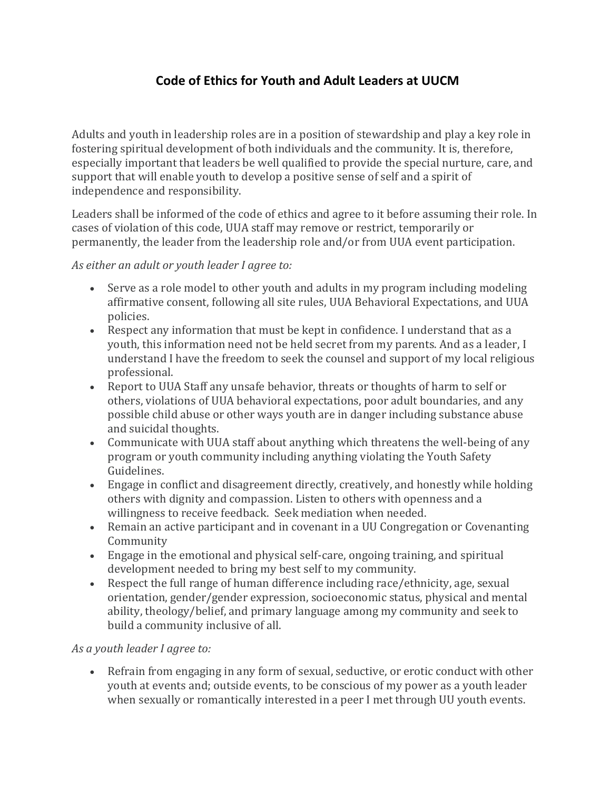# **Code of Ethics for Youth and Adult Leaders at UUCM**

Adults and youth in leadership roles are in a position of stewardship and play a key role in fostering spiritual development of both individuals and the community. It is, therefore, especially important that leaders be well qualified to provide the special nurture, care, and support that will enable youth to develop a positive sense of self and a spirit of independence and responsibility.

Leaders shall be informed of the code of ethics and agree to it before assuming their role. In cases of violation of this code, UUA staff may remove or restrict, temporarily or permanently, the leader from the leadership role and/or from UUA event participation.

#### *As either an adult or youth leader I agree to:*

- Serve as a role model to other youth and adults in my program including modeling affirmative consent, following all site rules, UUA Behavioral Expectations, and UUA policies.
- Respect any information that must be kept in confidence. I understand that as a youth, this information need not be held secret from my parents. And as a leader, I understand I have the freedom to seek the counsel and support of my local religious professional.
- Report to UUA Staff any unsafe behavior, threats or thoughts of harm to self or others, violations of UUA behavioral expectations, poor adult boundaries, and any possible child abuse or other ways youth are in danger including substance abuse and suicidal thoughts.
- Communicate with UUA staff about anything which threatens the well-being of any program or youth community including anything violating the Youth Safety Guidelines.
- Engage in conflict and disagreement directly, creatively, and honestly while holding others with dignity and compassion. Listen to others with openness and a willingness to receive feedback. Seek mediation when needed.
- Remain an active participant and in covenant in a UU Congregation or Covenanting Community
- Engage in the emotional and physical self-care, ongoing training, and spiritual development needed to bring my best self to my community.
- Respect the full range of human difference including race/ethnicity, age, sexual orientation, gender/gender expression, socioeconomic status, physical and mental ability, theology/belief, and primary language among my community and seek to build a community inclusive of all.

#### *As a youth leader I agree to:*

 Refrain from engaging in any form of sexual, seductive, or erotic conduct with other youth at events and; outside events, to be conscious of my power as a youth leader when sexually or romantically interested in a peer I met through UU youth events.